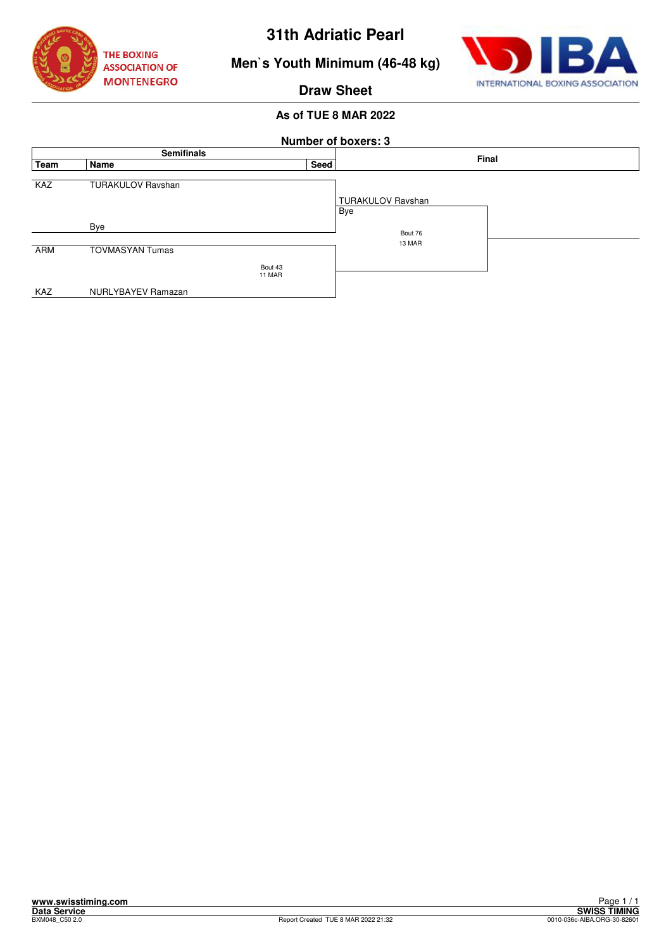



**Men`s Youth Minimum (46-48 kg)**

## **Draw Sheet**

| <b>Number of boxers: 3</b> |                          |         |      |                          |  |  |  |  |  |
|----------------------------|--------------------------|---------|------|--------------------------|--|--|--|--|--|
| <b>Semifinals</b>          |                          |         |      | Final                    |  |  |  |  |  |
| Team                       | Name                     |         | Seed |                          |  |  |  |  |  |
| <b>KAZ</b>                 | <b>TURAKULOV Ravshan</b> |         |      |                          |  |  |  |  |  |
|                            |                          |         |      | <b>TURAKULOV Ravshan</b> |  |  |  |  |  |
|                            |                          |         |      | Bye                      |  |  |  |  |  |
|                            | Bye                      |         |      | Bout 76                  |  |  |  |  |  |
|                            |                          |         |      | 13 MAR                   |  |  |  |  |  |
| ARM                        | <b>TOVMASYAN Tumas</b>   |         |      |                          |  |  |  |  |  |
|                            |                          | Bout 43 |      |                          |  |  |  |  |  |
|                            | 11 MAR                   |         |      |                          |  |  |  |  |  |
| KAZ                        | NURLYBAYEV Ramazan       |         |      |                          |  |  |  |  |  |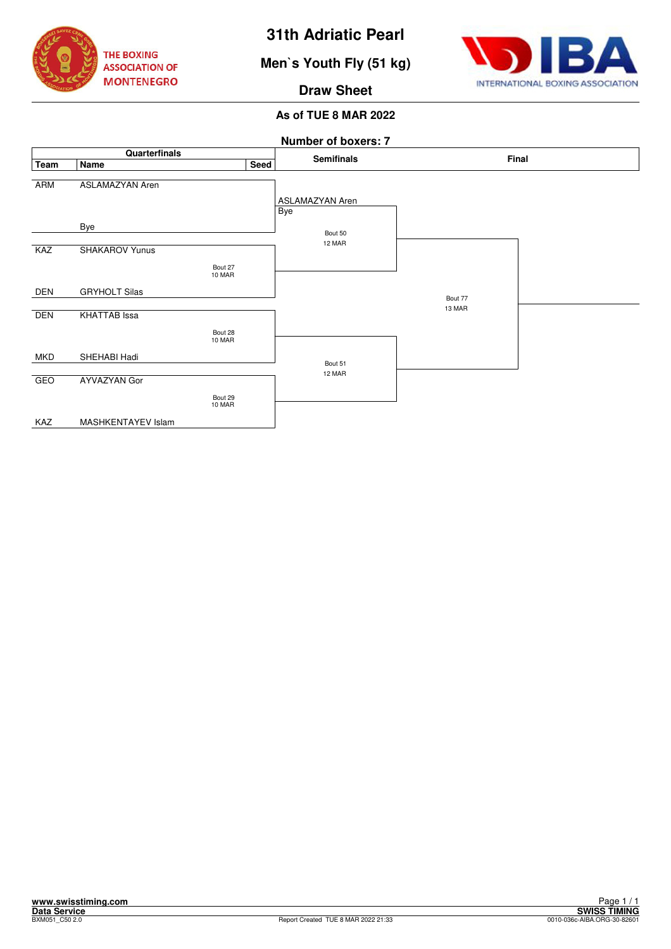

**Men`s Youth Fly (51 kg)**



### **Draw Sheet**

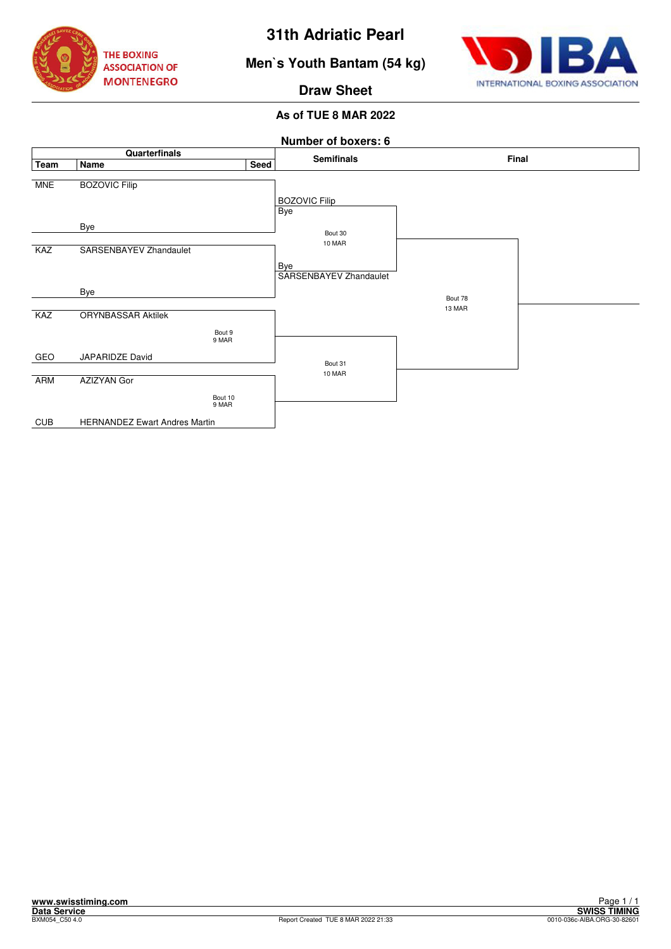





**Draw Sheet**

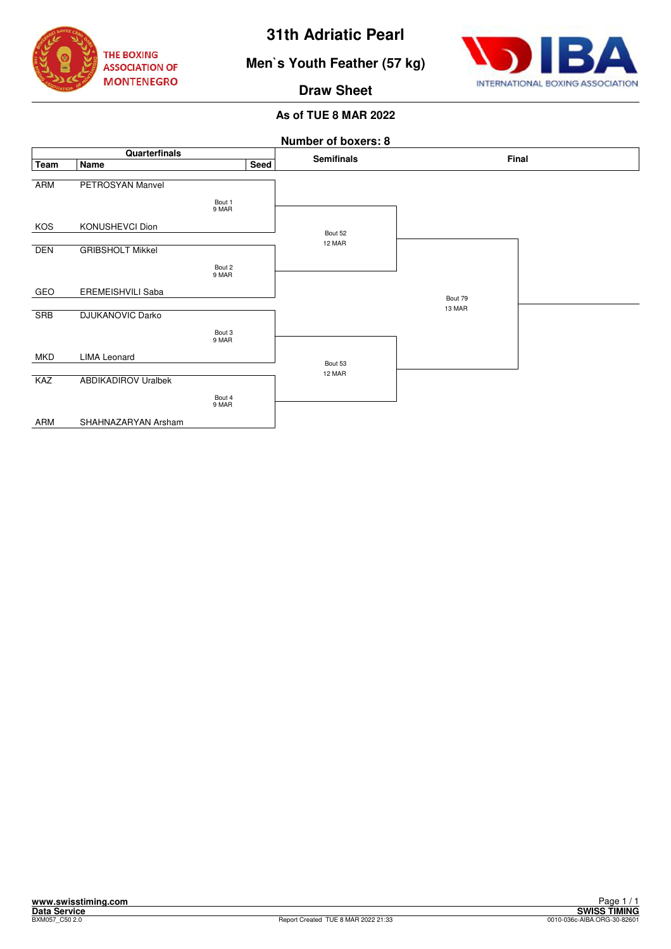

# **Men`s Youth Feather (57 kg)**



**Draw Sheet**

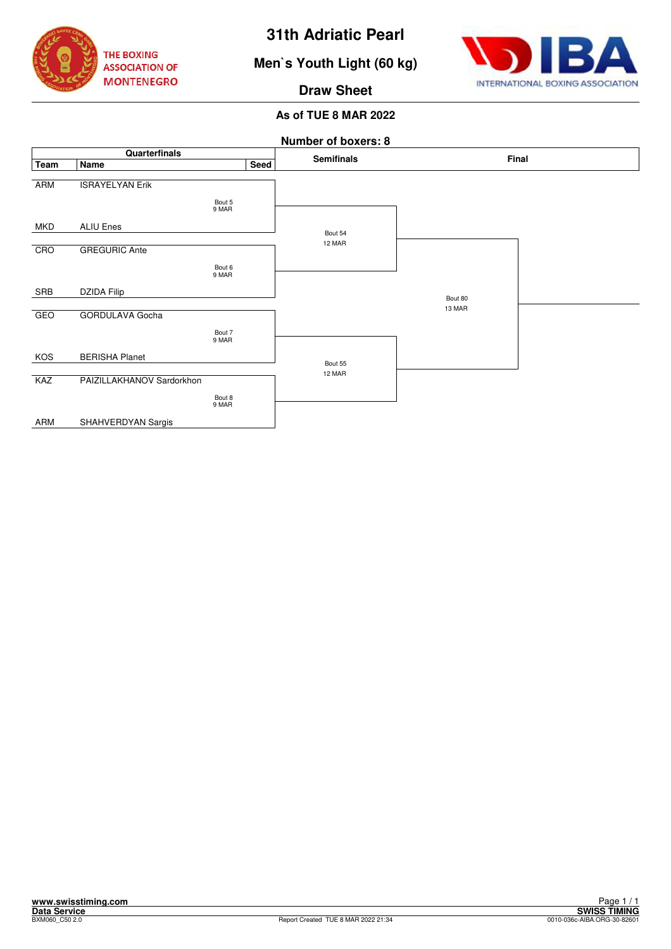

# **Men`s Youth Light (60 kg)**



### **Draw Sheet**

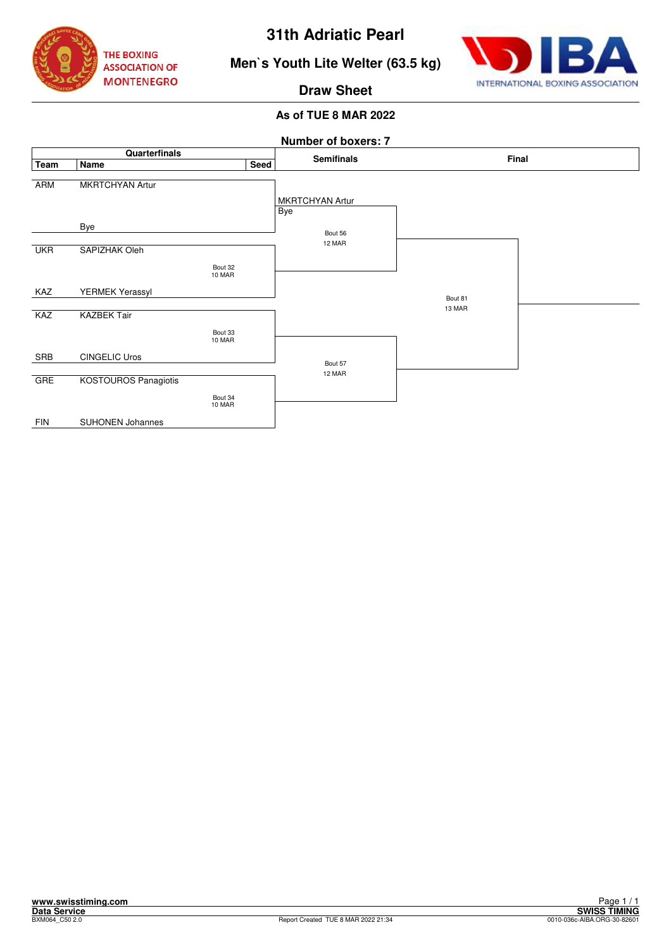



**Men`s Youth Lite Welter (63.5 kg)**

**Draw Sheet**

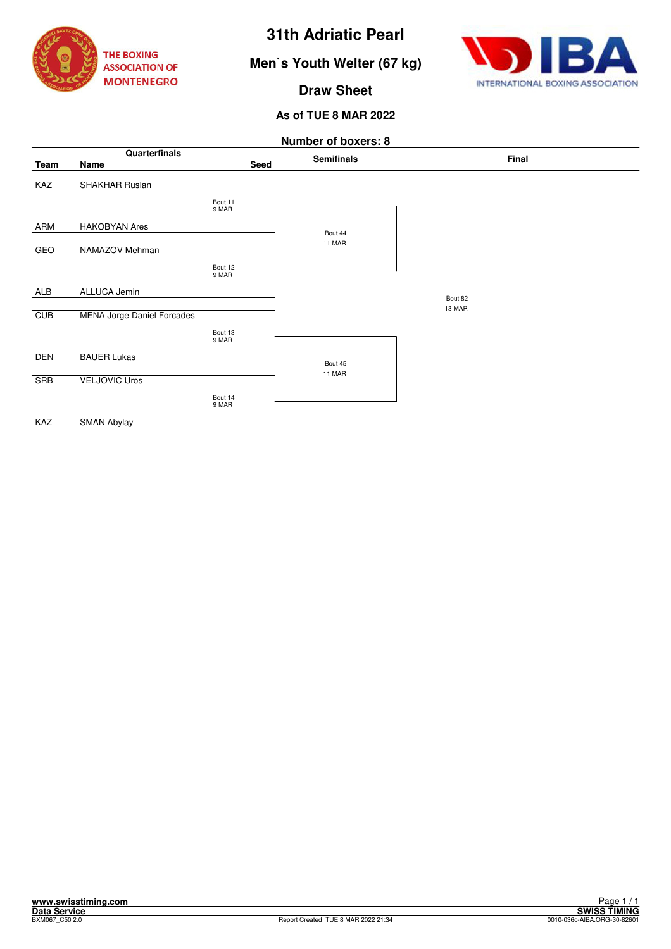

# **Men`s Youth Welter (67 kg)**



**Draw Sheet**

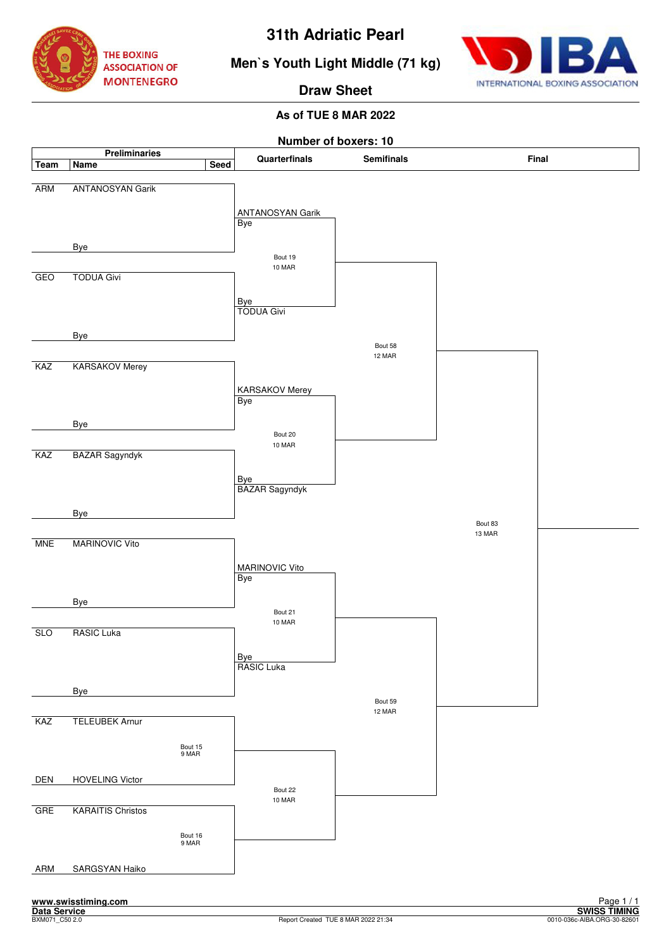



**Men`s Youth Light Middle (71 kg)**

**Draw Sheet**

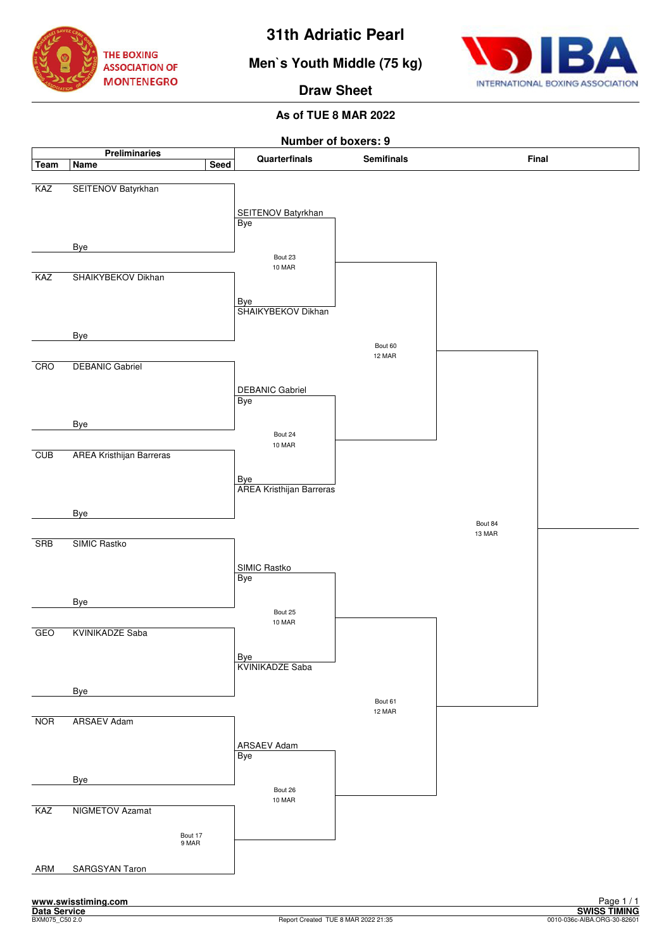





**Draw Sheet**

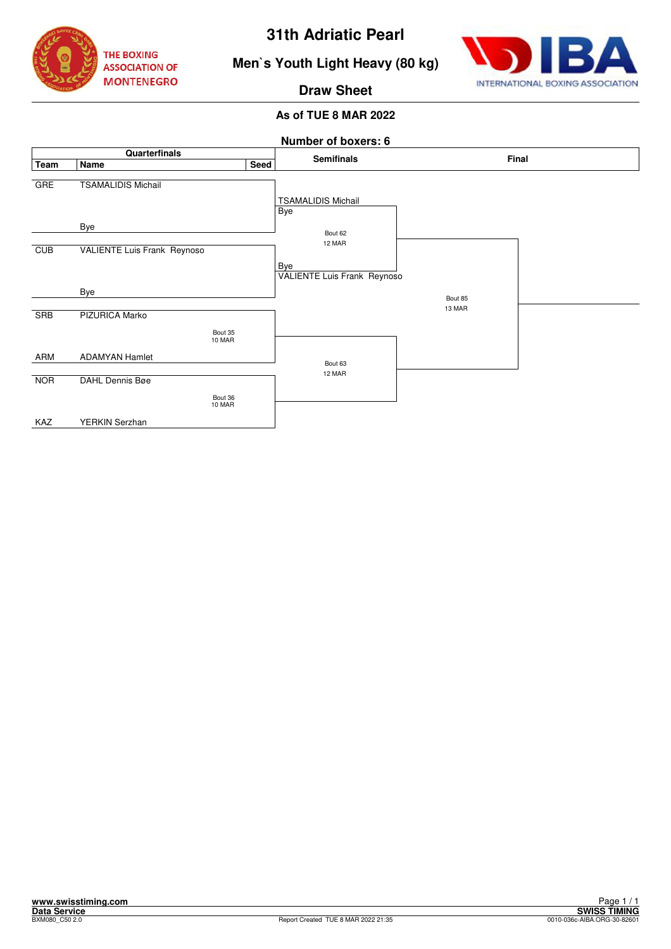![](_page_9_Picture_0.jpeg)

![](_page_9_Picture_2.jpeg)

# **Men`s Youth Light Heavy (80 kg)**

**Draw Sheet**

![](_page_9_Figure_6.jpeg)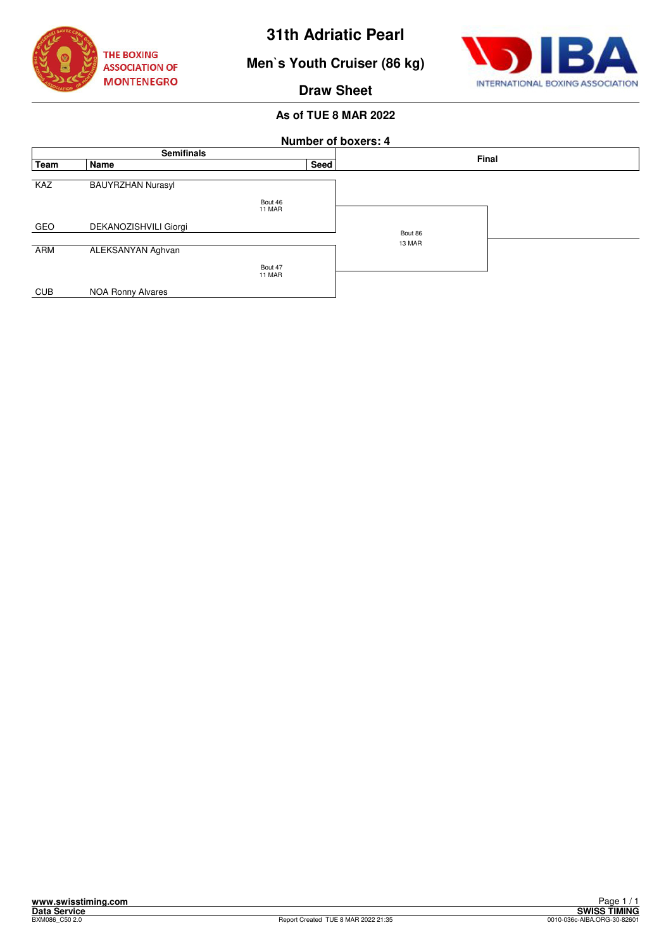![](_page_10_Picture_0.jpeg)

![](_page_10_Picture_2.jpeg)

**Men`s Youth Cruiser (86 kg)**

## **Draw Sheet**

| <b>Number of boxers: 4</b> |                          |                   |      |         |  |  |  |  |  |
|----------------------------|--------------------------|-------------------|------|---------|--|--|--|--|--|
| <b>Semifinals</b>          |                          |                   |      | Final   |  |  |  |  |  |
| Team                       | Name                     |                   | Seed |         |  |  |  |  |  |
| KAZ                        | <b>BAUYRZHAN Nurasyl</b> |                   |      |         |  |  |  |  |  |
|                            |                          | Bout 46<br>11 MAR |      |         |  |  |  |  |  |
| GEO                        | DEKANOZISHVILI Giorgi    |                   |      | Bout 86 |  |  |  |  |  |
|                            |                          |                   |      | 13 MAR  |  |  |  |  |  |
| ARM                        | ALEKSANYAN Aghvan        |                   |      |         |  |  |  |  |  |
|                            |                          | Bout 47           |      |         |  |  |  |  |  |
|                            |                          | 11 MAR            |      |         |  |  |  |  |  |
| <b>CUB</b>                 | <b>NOA Ronny Alvares</b> |                   |      |         |  |  |  |  |  |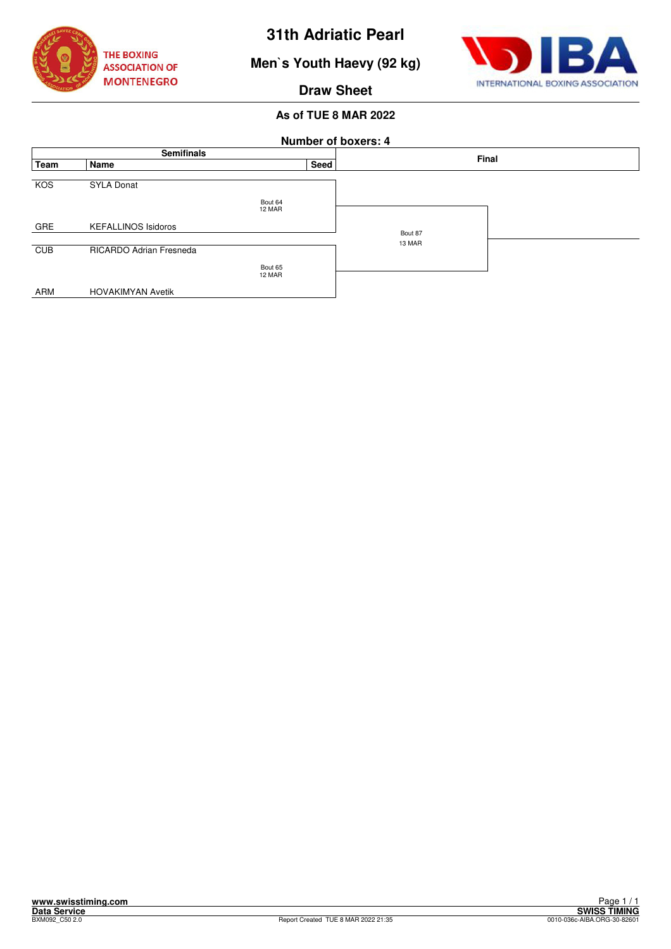![](_page_11_Picture_0.jpeg)

**Men`s Youth Haevy (92 kg)**

![](_page_11_Picture_3.jpeg)

**Draw Sheet**

| <b>Number of boxers: 4</b> |                            |                   |      |                   |  |  |  |  |  |
|----------------------------|----------------------------|-------------------|------|-------------------|--|--|--|--|--|
| <b>Semifinals</b>          |                            |                   |      | Final             |  |  |  |  |  |
| Team                       | Name                       |                   | Seed |                   |  |  |  |  |  |
| KOS                        | <b>SYLA Donat</b>          |                   |      |                   |  |  |  |  |  |
|                            |                            | Bout 64<br>12 MAR |      |                   |  |  |  |  |  |
| <b>GRE</b>                 | <b>KEFALLINOS Isidoros</b> |                   |      |                   |  |  |  |  |  |
|                            |                            |                   |      | Bout 87<br>13 MAR |  |  |  |  |  |
| CUB                        | RICARDO Adrian Fresneda    |                   |      |                   |  |  |  |  |  |
|                            |                            | Bout 65           |      |                   |  |  |  |  |  |
|                            |                            | 12 MAR            |      |                   |  |  |  |  |  |
| ARM                        | <b>HOVAKIMYAN Avetik</b>   |                   |      |                   |  |  |  |  |  |